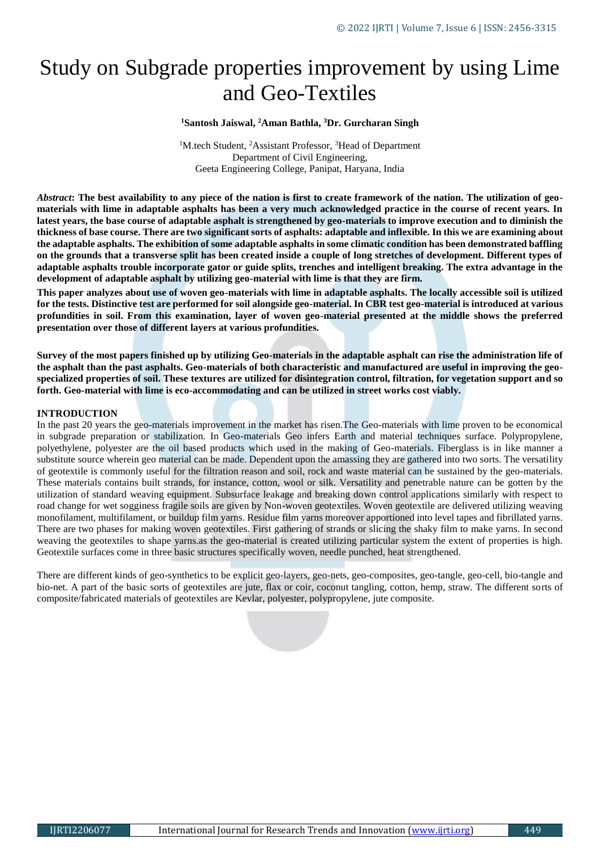# Study on Subgrade properties improvement by using Lime and Geo-Textiles

### **<sup>1</sup>Santosh Jaiswal, <sup>2</sup>Aman Bathla, <sup>3</sup>Dr. Gurcharan Singh**

<sup>1</sup>M.tech Student, <sup>2</sup>Assistant Professor, <sup>3</sup>Head of Department Department of Civil Engineering, Geeta Engineering College, Panipat, Haryana, India

*Abstract***: The best availability to any piece of the nation is first to create framework of the nation. The utilization of geomaterials with lime in adaptable asphalts has been a very much acknowledged practice in the course of recent years. In latest years, the base course of adaptable asphalt is strengthened by geo-materials to improve execution and to diminish the thickness of base course. There are two significant sorts of asphalts: adaptable and inflexible. In this we are examining about the adaptable asphalts. The exhibition of some adaptable asphalts in some climatic condition has been demonstrated baffling on the grounds that a transverse split has been created inside a couple of long stretches of development. Different types of adaptable asphalts trouble incorporate gator or guide splits, trenches and intelligent breaking. The extra advantage in the development of adaptable asphalt by utilizing geo-material with lime is that they are firm.** 

**This paper analyzes about use of woven geo-materials with lime in adaptable asphalts. The locally accessible soil is utilized for the tests. Distinctive test are performed for soil alongside geo-material. In CBR test geo-material is introduced at various profundities in soil. From this examination, layer of woven geo-material presented at the middle shows the preferred presentation over those of different layers at various profundities.** 

**Survey of the most papers finished up by utilizing Geo-materials in the adaptable asphalt can rise the administration life of the asphalt than the past asphalts. Geo-materials of both characteristic and manufactured are useful in improving the geospecialized properties of soil. These textures are utilized for disintegration control, filtration, for vegetation support and so forth. Geo-material with lime is eco-accommodating and can be utilized in street works cost viably.**

## **INTRODUCTION**

In the past 20 years the geo-materials improvement in the market has risen.The Geo-materials with lime proven to be economical in subgrade preparation or stabilization. In Geo-materials Geo infers Earth and material techniques surface. Polypropylene, polyethylene, polyester are the oil based products which used in the making of Geo-materials. Fiberglass is in like manner a substitute source wherein geo material can be made. Dependent upon the amassing they are gathered into two sorts. The versatility of geotextile is commonly useful for the filtration reason and soil, rock and waste material can be sustained by the geo-materials. These materials contains built strands, for instance, cotton, wool or silk. Versatility and penetrable nature can be gotten by the utilization of standard weaving equipment. Subsurface leakage and breaking down control applications similarly with respect to road change for wet sogginess fragile soils are given by Non-woven geotextiles. Woven geotextile are delivered utilizing weaving monofilament, multifilament, or buildup film yarns. Residue film yarns moreover apportioned into level tapes and fibrillated yarns. There are two phases for making woven geotextiles. First gathering of strands or slicing the shaky film to make yarns. In second weaving the geotextiles to shape yarns.as the geo-material is created utilizing particular system the extent of properties is high. Geotextile surfaces come in three basic structures specifically woven, needle punched, heat strengthened.

There are different kinds of geo-synthetics to be explicit geo-layers, geo-nets, geo-composites, geo-tangle, geo-cell, bio-tangle and bio-net. A part of the basic sorts of geotextiles are jute, flax or coir, coconut tangling, cotton, hemp, straw. The different sorts of composite/fabricated materials of geotextiles are Kevlar, polyester, polypropylene, jute composite.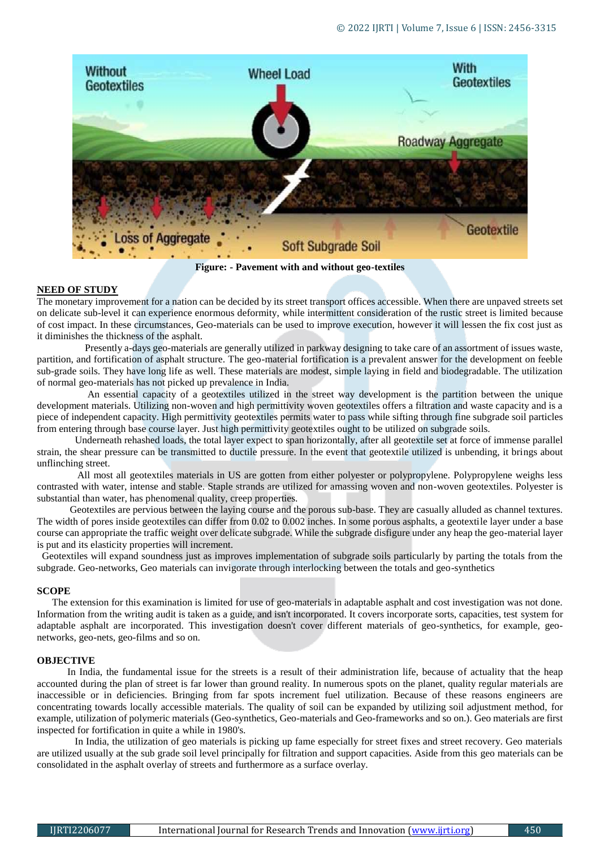

**Figure: - Pavement with and without geo-textiles**

#### **NEED OF STUDY**

The monetary improvement for a nation can be decided by its street transport offices accessible. When there are unpaved streets set on delicate sub-level it can experience enormous deformity, while intermittent consideration of the rustic street is limited because of cost impact. In these circumstances, Geo-materials can be used to improve execution, however it will lessen the fix cost just as it diminishes the thickness of the asphalt.

 Presently a-days geo-materials are generally utilized in parkway designing to take care of an assortment of issues waste, partition, and fortification of asphalt structure. The geo-material fortification is a prevalent answer for the development on feeble sub-grade soils. They have long life as well. These materials are modest, simple laying in field and biodegradable. The utilization of normal geo-materials has not picked up prevalence in India.

 An essential capacity of a geotextiles utilized in the street way development is the partition between the unique development materials. Utilizing non-woven and high permittivity woven geotextiles offers a filtration and waste capacity and is a piece of independent capacity. High permittivity geotextiles permits water to pass while sifting through fine subgrade soil particles from entering through base course layer. Just high permittivity geotextiles ought to be utilized on subgrade soils.

 Underneath rehashed loads, the total layer expect to span horizontally, after all geotextile set at force of immense parallel strain, the shear pressure can be transmitted to ductile pressure. In the event that geotextile utilized is unbending, it brings about unflinching street.

 All most all geotextiles materials in US are gotten from either polyester or polypropylene. Polypropylene weighs less contrasted with water, intense and stable. Staple strands are utilized for amassing woven and non-woven geotextiles. Polyester is substantial than water, has phenomenal quality, creep properties.

 Geotextiles are pervious between the laying course and the porous sub-base. They are casually alluded as channel textures. The width of pores inside geotextiles can differ from 0.02 to 0.002 inches. In some porous asphalts, a geotextile layer under a base course can appropriate the traffic weight over delicate subgrade. While the subgrade disfigure under any heap the geo-material layer is put and its elasticity properties will increment.

 Geotextiles will expand soundness just as improves implementation of subgrade soils particularly by parting the totals from the subgrade. Geo-networks, Geo materials can invigorate through interlocking between the totals and geo-synthetics

#### **SCOPE**

 The extension for this examination is limited for use of geo-materials in adaptable asphalt and cost investigation was not done. Information from the writing audit is taken as a guide, and isn't incorporated. It covers incorporate sorts, capacities, test system for adaptable asphalt are incorporated. This investigation doesn't cover different materials of geo-synthetics, for example, geonetworks, geo-nets, geo-films and so on.

#### **OBJECTIVE**

 In India, the fundamental issue for the streets is a result of their administration life, because of actuality that the heap accounted during the plan of street is far lower than ground reality. In numerous spots on the planet, quality regular materials are inaccessible or in deficiencies. Bringing from far spots increment fuel utilization. Because of these reasons engineers are concentrating towards locally accessible materials. The quality of soil can be expanded by utilizing soil adjustment method, for example, utilization of polymeric materials (Geo-synthetics, Geo-materials and Geo-frameworks and so on.). Geo materials are first inspected for fortification in quite a while in 1980's.

 In India, the utilization of geo materials is picking up fame especially for street fixes and street recovery. Geo materials are utilized usually at the sub grade soil level principally for filtration and support capacities. Aside from this geo materials can be consolidated in the asphalt overlay of streets and furthermore as a surface overlay.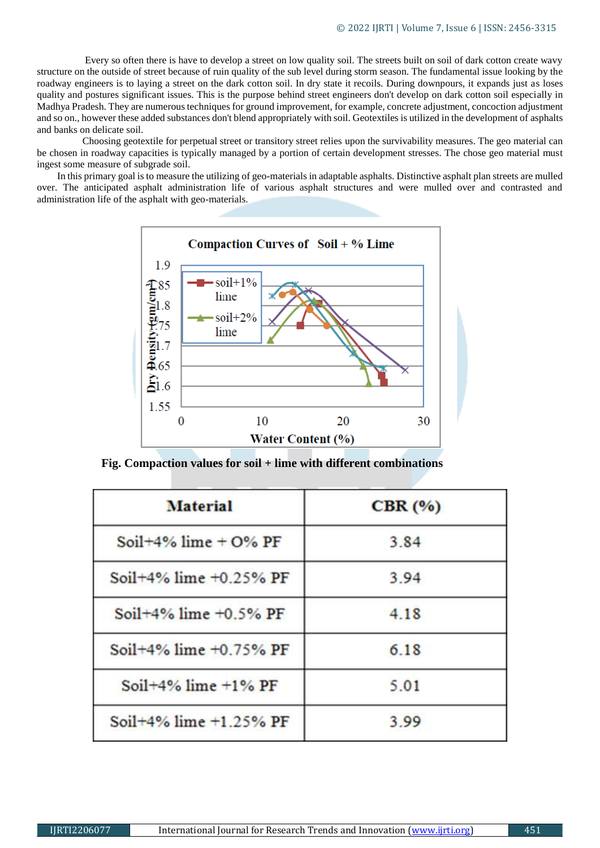Every so often there is have to develop a street on low quality soil. The streets built on soil of dark cotton create wavy structure on the outside of street because of ruin quality of the sub level during storm season. The fundamental issue looking by the roadway engineers is to laying a street on the dark cotton soil. In dry state it recoils. During downpours, it expands just as loses quality and postures significant issues. This is the purpose behind street engineers don't develop on dark cotton soil especially in Madhya Pradesh. They are numerous techniques for ground improvement, for example, concrete adjustment, concoction adjustment and so on., however these added substances don't blend appropriately with soil. Geotextiles is utilized in the development of asphalts and banks on delicate soil.

 Choosing geotextile for perpetual street or transitory street relies upon the survivability measures. The geo material can be chosen in roadway capacities is typically managed by a portion of certain development stresses. The chose geo material must ingest some measure of subgrade soil.

 In this primary goal is to measure the utilizing of geo-materials in adaptable asphalts. Distinctive asphalt plan streets are mulled over. The anticipated asphalt administration life of various asphalt structures and were mulled over and contrasted and administration life of the asphalt with geo-materials.



**Fig. Compaction values for soil + lime with different combinations**

| <b>Material</b>              | CBR(%) |
|------------------------------|--------|
| Soil+4% lime + $O\%$ PF      | 3.84   |
| Soil+4% lime $+0.25%$ PF     | 3.94   |
| Soil $+4\%$ lime $+0.5\%$ PF | 4.18   |
| Soil+4% lime +0.75% PF       | 6.18   |
| Soil $+4\%$ lime $+1\%$ PF   | 5.01   |
| Soil+4% lime $+1.25%$ PF     | 3.99   |